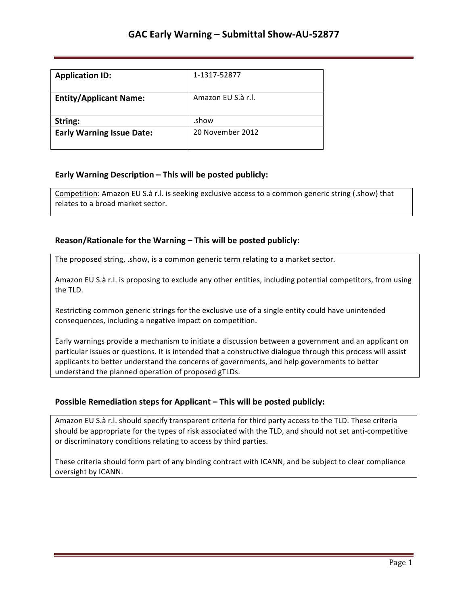| <b>Application ID:</b>           | 1-1317-52877       |
|----------------------------------|--------------------|
| <b>Entity/Applicant Name:</b>    | Amazon EU S.à r.l. |
| String:                          | .show              |
| <b>Early Warning Issue Date:</b> | 20 November 2012   |

### **Early Warning Description – This will be posted publicly:**

Competition: Amazon EU S.à r.l. is seeking exclusive access to a common generic string (.show) that relates to a broad market sector.

### **Reason/Rationale for the Warning – This will be posted publicly:**

The proposed string, .show, is a common generic term relating to a market sector.

Amazon EU S.à r.l. is proposing to exclude any other entities, including potential competitors, from using the TLD.

Restricting common generic strings for the exclusive use of a single entity could have unintended consequences, including a negative impact on competition.

Early warnings provide a mechanism to initiate a discussion between a government and an applicant on particular issues or questions. It is intended that a constructive dialogue through this process will assist applicants to better understand the concerns of governments, and help governments to better understand the planned operation of proposed gTLDs.

#### **Possible Remediation steps for Applicant – This will be posted publicly:**

Amazon EU S.à r.l. should specify transparent criteria for third party access to the TLD. These criteria should be appropriate for the types of risk associated with the TLD, and should not set anti-competitive or discriminatory conditions relating to access by third parties.

These criteria should form part of any binding contract with ICANN, and be subject to clear compliance oversight by ICANN.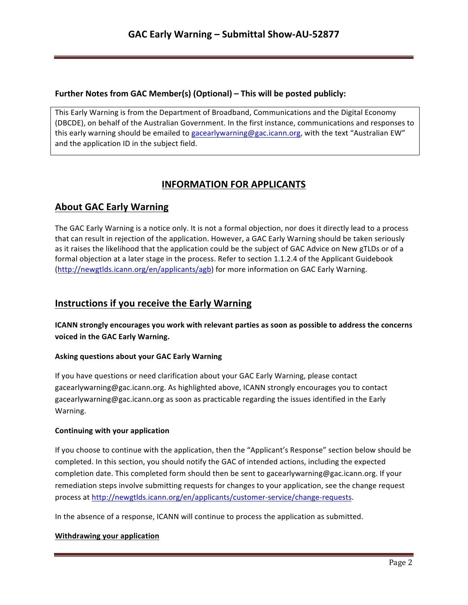## **Further Notes from GAC Member(s) (Optional) – This will be posted publicly:**

This Early Warning is from the Department of Broadband, Communications and the Digital Economy (DBCDE), on behalf of the Australian Government. In the first instance, communications and responses to this early warning should be emailed to gacearlywarning@gac.icann.org, with the text "Australian EW" and the application ID in the subject field.

# **INFORMATION FOR APPLICANTS**

# **About GAC Early Warning**

The GAC Early Warning is a notice only. It is not a formal objection, nor does it directly lead to a process that can result in rejection of the application. However, a GAC Early Warning should be taken seriously as it raises the likelihood that the application could be the subject of GAC Advice on New gTLDs or of a formal objection at a later stage in the process. Refer to section 1.1.2.4 of the Applicant Guidebook (http://newgtlds.icann.org/en/applicants/agb) for more information on GAC Early Warning.

# **Instructions if you receive the Early Warning**

**ICANN** strongly encourages you work with relevant parties as soon as possible to address the concerns voiced in the GAC Early Warning.

### **Asking questions about your GAC Early Warning**

If you have questions or need clarification about your GAC Early Warning, please contact gacearlywarning@gac.icann.org. As highlighted above, ICANN strongly encourages you to contact gacearlywarning@gac.icann.org as soon as practicable regarding the issues identified in the Early Warning. 

#### **Continuing with your application**

If you choose to continue with the application, then the "Applicant's Response" section below should be completed. In this section, you should notify the GAC of intended actions, including the expected completion date. This completed form should then be sent to gacearlywarning@gac.icann.org. If your remediation steps involve submitting requests for changes to your application, see the change request process at http://newgtlds.icann.org/en/applicants/customer-service/change-requests.

In the absence of a response, ICANN will continue to process the application as submitted.

#### **Withdrawing your application**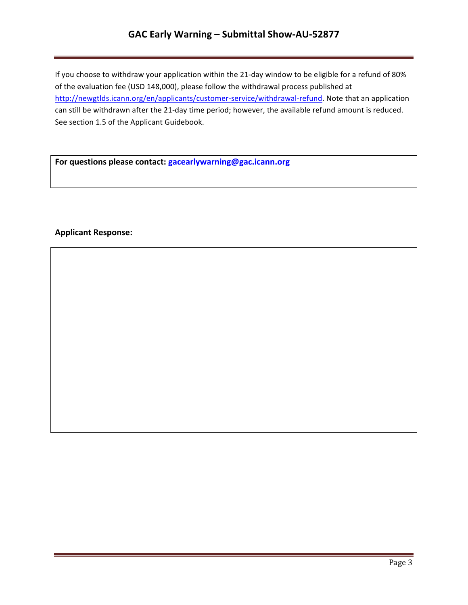# **GAC Early Warning – Submittal Show-AU-52877**

If you choose to withdraw your application within the 21-day window to be eligible for a refund of 80% of the evaluation fee (USD 148,000), please follow the withdrawal process published at http://newgtlds.icann.org/en/applicants/customer-service/withdrawal-refund. Note that an application can still be withdrawn after the 21-day time period; however, the available refund amount is reduced. See section 1.5 of the Applicant Guidebook.

For questions please contact: **gacearlywarning@gac.icann.org** 

### **Applicant Response:**